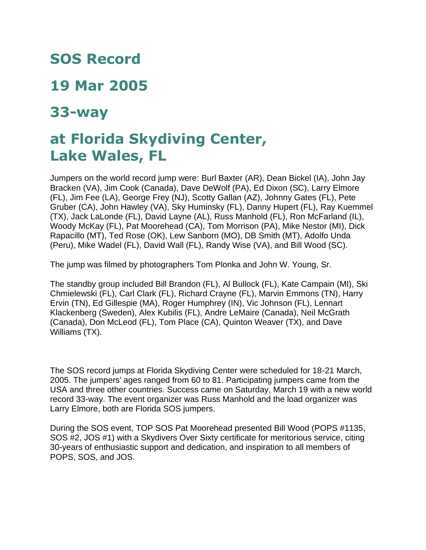## **SOS Record**

## **19 Mar 2005**

## **33-way**

## **at Florida Skydiving Center, Lake Wales, FL**

Jumpers on the world record jump were: Burl Baxter (AR), Dean Bickel (IA), John Jay Bracken (VA), Jim Cook (Canada), Dave DeWolf (PA), Ed Dixon (SC), Larry Elmore (FL), Jim Fee (LA), George Frey (NJ), Scotty Gallan (AZ), Johnny Gates (FL), Pete Gruber (CA), John Hawley (VA), Sky Huminsky (FL), Danny Hupert (FL), Ray Kuemmel (TX), Jack LaLonde (FL), David Layne (AL), Russ Manhold (FL), Ron McFarland (IL), Woody McKay (FL), Pat Moorehead (CA), Tom Morrison (PA), Mike Nestor (MI), Dick Rapacillo (MT), Ted Rose (OK), Lew Sanborn (MO), DB Smith (MT), Adolfo Unda (Peru), Mike Wadel (FL), David Wall (FL), Randy Wise (VA), and Bill Wood (SC).

The jump was filmed by photographers Tom Plonka and John W. Young, Sr.

The standby group included Bill Brandon (FL), Al Bullock (FL), Kate Campain (MI), Ski Chmielewski (FL), Carl Clark (FL), Richard Crayne (FL), Marvin Emmons (TN), Harry Ervin (TN), Ed Gillespie (MA), Roger Humphrey (IN), Vic Johnson (FL), Lennart Klackenberg (Sweden), Alex Kubilis (FL), Andre LeMaire (Canada), Neil McGrath (Canada), Don McLeod (FL), Tom Place (CA), Quinton Weaver (TX), and Dave Williams (TX).

The SOS record jumps at Florida Skydiving Center were scheduled for 18-21 March, 2005. The jumpers' ages ranged from 60 to 81. Participating jumpers came from the USA and three other countries. Success came on Saturday, March 19 with a new world record 33-way. The event organizer was Russ Manhold and the load organizer was Larry Elmore, both are Florida SOS jumpers.

During the SOS event, TOP SOS Pat Moorehead presented Bill Wood (POPS #1135, SOS #2, JOS #1) with a Skydivers Over Sixty certificate for meritorious service, citing 30-years of enthusiastic support and dedication, and inspiration to all members of POPS, SOS, and JOS.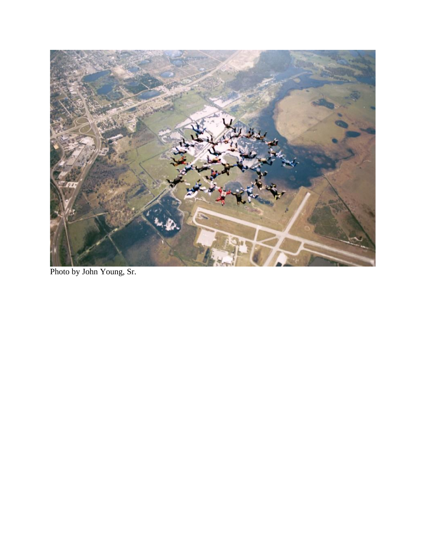

Photo by John Young, Sr.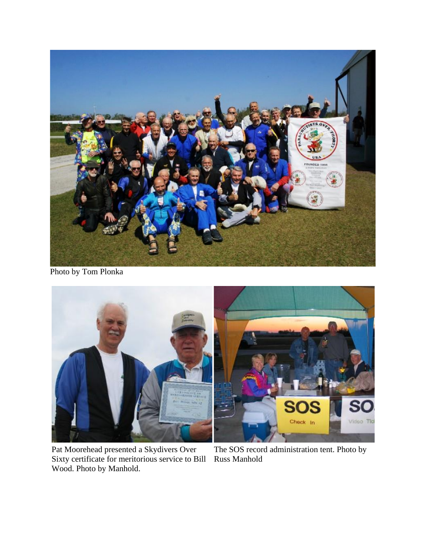

Photo by Tom Plonka



Pat Moorehead presented a Skydivers Over Sixty certificate for meritorious service to Bill Wood. Photo by Manhold.

The SOS record administration tent. Photo by Russ Manhold